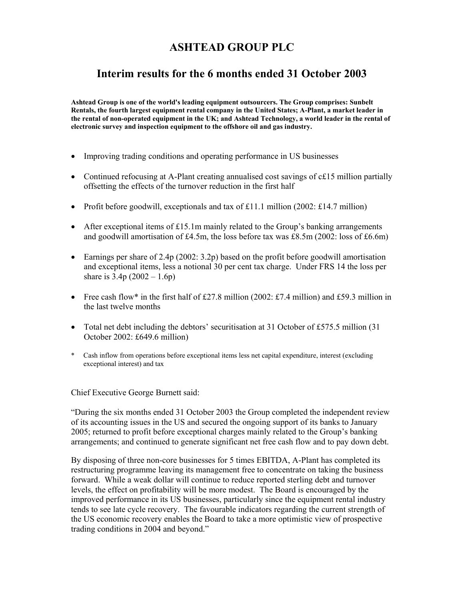# **ASHTEAD GROUP PLC**

# **Interim results for the 6 months ended 31 October 2003**

**Ashtead Group is one of the world's leading equipment outsourcers. The Group comprises: Sunbelt Rentals, the fourth largest equipment rental company in the United States; A-Plant, a market leader in the rental of non-operated equipment in the UK; and Ashtead Technology, a world leader in the rental of electronic survey and inspection equipment to the offshore oil and gas industry.** 

- Improving trading conditions and operating performance in US businesses
- Continued refocusing at A-Plant creating annualised cost savings of c£15 million partially offsetting the effects of the turnover reduction in the first half
- Profit before goodwill, exceptionals and tax of £11.1 million (2002: £14.7 million)
- After exceptional items of £15.1m mainly related to the Group's banking arrangements and goodwill amortisation of £4.5m, the loss before tax was £8.5m (2002: loss of £6.6m)
- Earnings per share of 2.4p (2002: 3.2p) based on the profit before goodwill amortisation and exceptional items, less a notional 30 per cent tax charge. Under FRS 14 the loss per share is  $3.4p(2002 - 1.6p)$
- Free cash flow\* in the first half of £27.8 million (2002: £7.4 million) and £59.3 million in the last twelve months
- Total net debt including the debtors' securitisation at 31 October of £575.5 million (31) October 2002: £649.6 million)
- \* Cash inflow from operations before exceptional items less net capital expenditure, interest (excluding exceptional interest) and tax

Chief Executive George Burnett said:

"During the six months ended 31 October 2003 the Group completed the independent review of its accounting issues in the US and secured the ongoing support of its banks to January 2005; returned to profit before exceptional charges mainly related to the Group's banking arrangements; and continued to generate significant net free cash flow and to pay down debt.

By disposing of three non-core businesses for 5 times EBITDA, A-Plant has completed its restructuring programme leaving its management free to concentrate on taking the business forward. While a weak dollar will continue to reduce reported sterling debt and turnover levels, the effect on profitability will be more modest. The Board is encouraged by the improved performance in its US businesses, particularly since the equipment rental industry tends to see late cycle recovery. The favourable indicators regarding the current strength of the US economic recovery enables the Board to take a more optimistic view of prospective trading conditions in 2004 and beyond."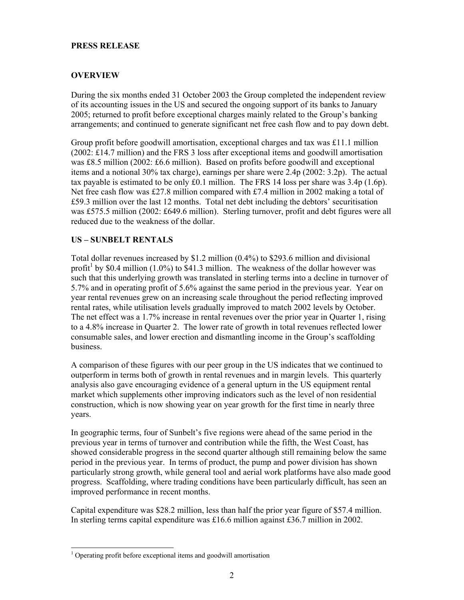#### **PRESS RELEASE**

## **OVERVIEW**

During the six months ended 31 October 2003 the Group completed the independent review of its accounting issues in the US and secured the ongoing support of its banks to January 2005; returned to profit before exceptional charges mainly related to the Group's banking arrangements; and continued to generate significant net free cash flow and to pay down debt.

Group profit before goodwill amortisation, exceptional charges and tax was £11.1 million (2002: £14.7 million) and the FRS 3 loss after exceptional items and goodwill amortisation was £8.5 million (2002: £6.6 million). Based on profits before goodwill and exceptional items and a notional 30% tax charge), earnings per share were 2.4p (2002: 3.2p). The actual tax payable is estimated to be only  $\text{\pounds}0.1$  million. The FRS 14 loss per share was 3.4p (1.6p). Net free cash flow was £27.8 million compared with £7.4 million in 2002 making a total of £59.3 million over the last 12 months. Total net debt including the debtors' securitisation was £575.5 million (2002: £649.6 million). Sterling turnover, profit and debt figures were all reduced due to the weakness of the dollar.

### **US – SUNBELT RENTALS**

Total dollar revenues increased by \$1.2 million (0.4%) to \$293.6 million and divisional profit<sup>1</sup> by \$0.4 million (1.0%) to \$41.3 million. The weakness of the dollar however was such that this underlying growth was translated in sterling terms into a decline in turnover of 5.7% and in operating profit of 5.6% against the same period in the previous year. Year on year rental revenues grew on an increasing scale throughout the period reflecting improved rental rates, while utilisation levels gradually improved to match 2002 levels by October. The net effect was a 1.7% increase in rental revenues over the prior year in Quarter 1, rising to a 4.8% increase in Quarter 2. The lower rate of growth in total revenues reflected lower consumable sales, and lower erection and dismantling income in the Group's scaffolding business.

A comparison of these figures with our peer group in the US indicates that we continued to outperform in terms both of growth in rental revenues and in margin levels. This quarterly analysis also gave encouraging evidence of a general upturn in the US equipment rental market which supplements other improving indicators such as the level of non residential construction, which is now showing year on year growth for the first time in nearly three years.

In geographic terms, four of Sunbelt's five regions were ahead of the same period in the previous year in terms of turnover and contribution while the fifth, the West Coast, has showed considerable progress in the second quarter although still remaining below the same period in the previous year. In terms of product, the pump and power division has shown particularly strong growth, while general tool and aerial work platforms have also made good progress. Scaffolding, where trading conditions have been particularly difficult, has seen an improved performance in recent months.

Capital expenditure was \$28.2 million, less than half the prior year figure of \$57.4 million. In sterling terms capital expenditure was £16.6 million against £36.7 million in 2002.

<sup>-</sup><sup>1</sup> Operating profit before exceptional items and goodwill amortisation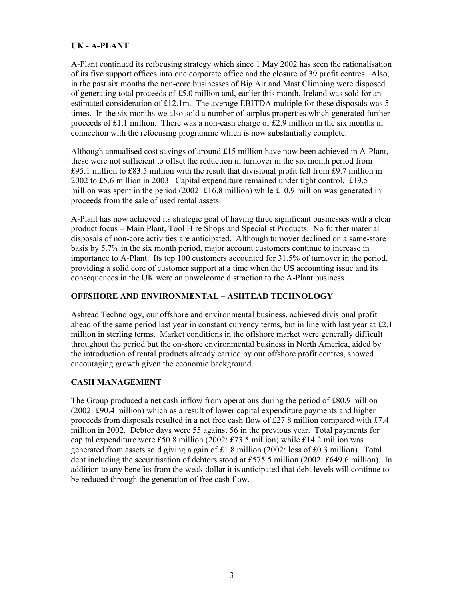#### **UK - A-PLANT**

A-Plant continued its refocusing strategy which since 1 May 2002 has seen the rationalisation of its five support offices into one corporate office and the closure of 39 profit centres. Also, in the past six months the non-core businesses of Big Air and Mast Climbing were disposed of generating total proceeds of £5.0 million and, earlier this month, Ireland was sold for an estimated consideration of £12.1m. The average EBITDA multiple for these disposals was 5 times. In the six months we also sold a number of surplus properties which generated further proceeds of £1.1 million. There was a non-cash charge of £2.9 million in the six months in connection with the refocusing programme which is now substantially complete.

Although annualised cost savings of around £15 million have now been achieved in A-Plant, these were not sufficient to offset the reduction in turnover in the six month period from £95.1 million to £83.5 million with the result that divisional profit fell from £9.7 million in 2002 to £5.6 million in 2003. Capital expenditure remained under tight control. £19.5 million was spent in the period  $(2002: \text{\textsterling}16.8 \text{ million})$  while  $\text{\textsterling}10.9 \text{ million}$  was generated in proceeds from the sale of used rental assets.

A-Plant has now achieved its strategic goal of having three significant businesses with a clear product focus – Main Plant, Tool Hire Shops and Specialist Products. No further material disposals of non-core activities are anticipated. Although turnover declined on a same-store basis by 5.7% in the six month period, major account customers continue to increase in importance to A-Plant. Its top 100 customers accounted for 31.5% of turnover in the period, providing a solid core of customer support at a time when the US accounting issue and its consequences in the UK were an unwelcome distraction to the A-Plant business.

### **OFFSHORE AND ENVIRONMENTAL – ASHTEAD TECHNOLOGY**

Ashtead Technology, our offshore and environmental business, achieved divisional profit ahead of the same period last year in constant currency terms, but in line with last year at £2.1 million in sterling terms. Market conditions in the offshore market were generally difficult throughout the period but the on-shore environmental business in North America, aided by the introduction of rental products already carried by our offshore profit centres, showed encouraging growth given the economic background.

#### **CASH MANAGEMENT**

The Group produced a net cash inflow from operations during the period of £80.9 million (2002: £90.4 million) which as a result of lower capital expenditure payments and higher proceeds from disposals resulted in a net free cash flow of £27.8 million compared with £7.4 million in 2002. Debtor days were 55 against 56 in the previous year. Total payments for capital expenditure were £50.8 million (2002: £73.5 million) while £14.2 million was generated from assets sold giving a gain of £1.8 million (2002: loss of £0.3 million). Total debt including the securitisation of debtors stood at £575.5 million (2002: £649.6 million). In addition to any benefits from the weak dollar it is anticipated that debt levels will continue to be reduced through the generation of free cash flow.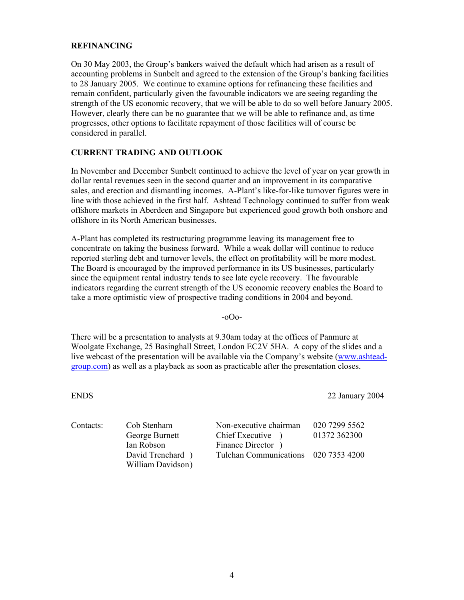#### **REFINANCING**

On 30 May 2003, the Group's bankers waived the default which had arisen as a result of accounting problems in Sunbelt and agreed to the extension of the Group's banking facilities to 28 January 2005. We continue to examine options for refinancing these facilities and remain confident, particularly given the favourable indicators we are seeing regarding the strength of the US economic recovery, that we will be able to do so well before January 2005. However, clearly there can be no guarantee that we will be able to refinance and, as time progresses, other options to facilitate repayment of those facilities will of course be considered in parallel.

#### **CURRENT TRADING AND OUTLOOK**

In November and December Sunbelt continued to achieve the level of year on year growth in dollar rental revenues seen in the second quarter and an improvement in its comparative sales, and erection and dismantling incomes. A-Plant's like-for-like turnover figures were in line with those achieved in the first half. Ashtead Technology continued to suffer from weak offshore markets in Aberdeen and Singapore but experienced good growth both onshore and offshore in its North American businesses.

A-Plant has completed its restructuring programme leaving its management free to concentrate on taking the business forward. While a weak dollar will continue to reduce reported sterling debt and turnover levels, the effect on profitability will be more modest. The Board is encouraged by the improved performance in its US businesses, particularly since the equipment rental industry tends to see late cycle recovery. The favourable indicators regarding the current strength of the US economic recovery enables the Board to take a more optimistic view of prospective trading conditions in 2004 and beyond.

-oOo-

There will be a presentation to analysts at 9.30am today at the offices of Panmure at Woolgate Exchange, 25 Basinghall Street, London EC2V 5HA. A copy of the slides and a live webcast of the presentation will be available via the Company's website (www.ashteadgroup.com) as well as a playback as soon as practicable after the presentation closes.

ENDS 22 January 2004

| Contacts: | Cob Stenham       | Non-executive chairman               | 020 7299 5562 |
|-----------|-------------------|--------------------------------------|---------------|
|           | George Burnett    | Chief Executive                      | 01372 362300  |
|           | Ian Robson        | Finance Director                     |               |
|           | David Trenchard ) | Tulchan Communications 020 7353 4200 |               |
|           | William Davidson) |                                      |               |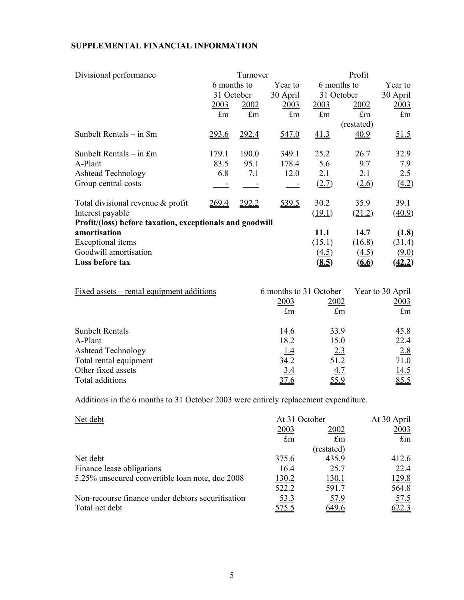# **SUPPLEMENTAL FINANCIAL INFORMATION**

| Divisional performance                                   |              | Turnover    |             | Profit       |              |               |
|----------------------------------------------------------|--------------|-------------|-------------|--------------|--------------|---------------|
|                                                          | 6 months to  |             | Year to     |              | 6 months to  | Year to       |
|                                                          | 31 October   |             | 30 April    |              | 31 October   | 30 April      |
|                                                          | 2003         | 2002        | 2003        | <u>2003</u>  | 2002         | 2003          |
|                                                          | $\pounds$ m  | $\pounds$ m | $\pounds$ m | $\pounds$ m  | $\pounds$ m  | $\pounds$ m   |
|                                                          |              |             |             |              | (restated)   |               |
| Sunbelt Rentals – in \$m                                 | 293.6        | 292.4       | 547.0       | 41.3         | 40.9         | <u>51.5</u>   |
| Sunbelt Rentals $-$ in £m                                | 179.1        | 190.0       | 349.1       | 25.2         | 26.7         | 32.9          |
|                                                          | 83.5         |             |             |              |              |               |
| A-Plant                                                  |              | 95.1        | 178.4       | 5.6          | 9.7          | 7.9           |
| <b>Ashtead Technology</b>                                | 6.8          | 7.1         | 12.0        | 2.1          | 2.1          | 2.5           |
| Group central costs                                      |              |             |             | (2.7)        | (2.6)        | (4.2)         |
| Total divisional revenue $\&$ profit                     | <u>269.4</u> | 292.2       | 539.5       | 30.2         | 35.9         | 39.1          |
| Interest payable                                         |              |             |             | (19.1)       | (21.2)       | (40.9)        |
| Profit/(loss) before taxation, exceptionals and goodwill |              |             |             |              |              |               |
| amortisation                                             |              |             |             | 11.1         | 14.7         | (1.8)         |
| Exceptional items                                        |              |             |             | (15.1)       | (16.8)       | (31.4)        |
| Goodwill amortisation                                    |              |             |             | (4.5)        | (4.5)        | (9.0)         |
| Loss before tax                                          |              |             |             | <u>(8.5)</u> | <u>(6.6)</u> | <u>(42.2)</u> |

| <u>Fixed</u> assets – rental equipment additions | 6 months to 31 October | Year to 30 April |             |
|--------------------------------------------------|------------------------|------------------|-------------|
|                                                  | 2003                   | 2002             | 2003        |
|                                                  | $\pounds$ m            | $\pounds$ m      | $\pounds$ m |
| <b>Sunbelt Rentals</b>                           | 14.6                   | 33.9             | 45.8        |
| A-Plant                                          | 18.2                   | 15.0             | 22.4        |
| <b>Ashtead Technology</b>                        | <u>1.4</u>             | 2.3              | 2.8         |
| Total rental equipment                           | 34.2                   | 51.2             | 71.0        |
| Other fixed assets                               | 3.4                    | <u>4.7</u>       | 14.5        |
| Total additions                                  | 37.6                   | <u>55.9</u>      | 85.5        |

Additions in the 6 months to 31 October 2003 were entirely replacement expenditure.

| Net debt                                          | At 31 October | At 30 April |              |
|---------------------------------------------------|---------------|-------------|--------------|
|                                                   | 2003          | 2002        | 2003         |
|                                                   | $\pounds$ m   | $\pounds$ m | $\pounds$ m  |
|                                                   |               | (restated)  |              |
| Net debt                                          | 375.6         | 435.9       | 412.6        |
| Finance lease obligations                         | 16.4          | 25.7        | 22.4         |
| 5.25% unsecured convertible loan note, due 2008   | 130.2         | 130.1       | 129.8        |
|                                                   | 522.2         | 591.7       | 564.8        |
| Non-recourse finance under debtors securitisation | 53.3          | 57.9        | 57.5         |
| Total net debt                                    | 575.5         | 649.6       | <u>622.3</u> |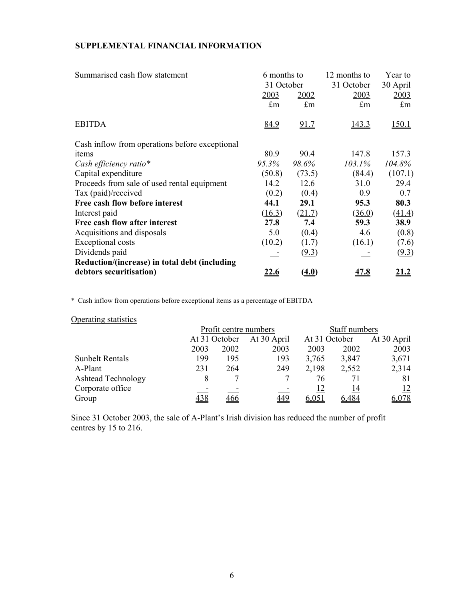#### **SUPPLEMENTAL FINANCIAL INFORMATION**

| Summarised cash flow statement                 | 6 months to |             | 12 months to | Year to     |  |
|------------------------------------------------|-------------|-------------|--------------|-------------|--|
|                                                | 31 October  |             | 31 October   | 30 April    |  |
|                                                | 2003        | 2002        | 2003         | 2003        |  |
|                                                | $\pounds$ m | $\pounds$ m | $\pounds$ m  | $\pounds$ m |  |
| <b>EBITDA</b>                                  | 84.9        | 91.7        | 143.3        | 150.1       |  |
| Cash inflow from operations before exceptional |             |             |              |             |  |
| items                                          | 80.9        | 90.4        | 147.8        | 157.3       |  |
| Cash efficiency ratio*                         | 95.3%       | 98.6%       | 103.1%       | 104.8%      |  |
| Capital expenditure                            | (50.8)      | (73.5)      | (84.4)       | (107.1)     |  |
| Proceeds from sale of used rental equipment    | 14.2        | 12.6        | 31.0         | 29.4        |  |
| Tax (paid)/received                            | (0.2)       | (0.4)       | 0.9          | 0.7         |  |
| Free cash flow before interest                 | 44.1        | 29.1        | 95.3         | 80.3        |  |
| Interest paid                                  | (16.3)      | (21.7)      | (36.0)       | (41.4)      |  |
| Free cash flow after interest                  | 27.8        | 7.4         | 59.3         | 38.9        |  |
| Acquisitions and disposals                     | 5.0         | (0.4)       | 4.6          | (0.8)       |  |
| <b>Exceptional costs</b>                       | (10.2)      | (1.7)       | (16.1)       | (7.6)       |  |
| Dividends paid                                 |             | (9.3)       |              | (9.3)       |  |
| Reduction/(increase) in total debt (including  |             |             |              |             |  |
| debtors securitisation)                        | <u>22.6</u> | (4.0)       | <u>47.8</u>  | <u>21.2</u> |  |

\* Cash inflow from operations before exceptional items as a percentage of EBITDA

### Operating statistics

|                           |               | Profit centre numbers |             | Staff numbers |               |             |
|---------------------------|---------------|-----------------------|-------------|---------------|---------------|-------------|
|                           | At 31 October |                       | At 30 April |               | At 31 October | At 30 April |
|                           | 2003          | 2002                  | 2003        | 2003          | 2002          | 2003        |
| <b>Sunbelt Rentals</b>    | 199           | 195                   | 193         | 3.765         | 3,847         | 3,671       |
| A-Plant                   | 231           | 264                   | 249         | 2,198         | 2,552         | 2,314       |
| <b>Ashtead Technology</b> |               |                       |             | 76            | 71            | 81          |
| Corporate office          |               | -                     |             | 12            | 14            | 12          |
| Group                     | 438           | 466                   | 449         | 6,051         | .484          | 6,078       |

Since 31 October 2003, the sale of A-Plant's Irish division has reduced the number of profit centres by 15 to 216.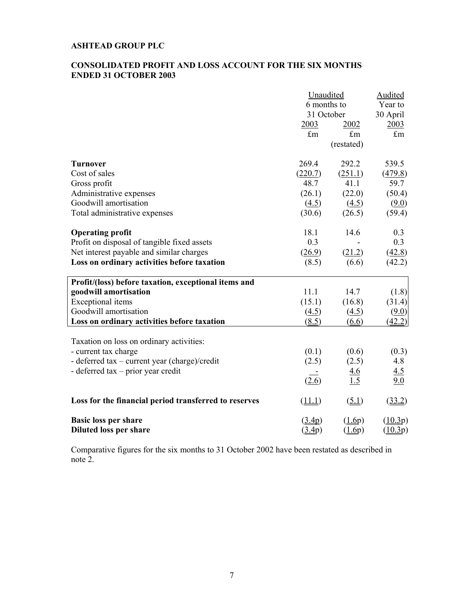#### **ASHTEAD GROUP PLC**

#### **CONSOLIDATED PROFIT AND LOSS ACCOUNT FOR THE SIX MONTHS ENDED 31 OCTOBER 2003**

|                                                                                                                                                                            | Unaudited<br>6 months to<br>31 October                     |                                                         | Audited<br>Year to<br>30 April                        |
|----------------------------------------------------------------------------------------------------------------------------------------------------------------------------|------------------------------------------------------------|---------------------------------------------------------|-------------------------------------------------------|
|                                                                                                                                                                            | 2003<br>$\pounds$ m                                        | 2002<br>$\pounds$ m<br>(restated)                       | 2003<br>$\pounds$ m                                   |
| <b>Turnover</b><br>Cost of sales<br>Gross profit<br>Administrative expenses<br>Goodwill amortisation<br>Total administrative expenses                                      | 269.4<br>(220.7)<br>48.7<br>(26.1)<br>(4.5)<br>(30.6)      | 292.2<br>(251.1)<br>41.1<br>(22.0)<br>(4.5)<br>(26.5)   | 539.5<br>(479.8)<br>59.7<br>(50.4)<br>(9.0)<br>(59.4) |
| <b>Operating profit</b><br>Profit on disposal of tangible fixed assets<br>Net interest payable and similar charges<br>Loss on ordinary activities before taxation          | 18.1<br>0.3<br>(26.9)<br>(8.5)                             | 14.6<br>(21.2)<br>(6.6)                                 | 0.3<br>0.3<br>(42.8)<br>(42.2)                        |
| Profit/(loss) before taxation, exceptional items and<br>goodwill amortisation<br>Exceptional items<br>Goodwill amortisation<br>Loss on ordinary activities before taxation | 11.1<br>(15.1)<br>(4.5)<br>(8.5)                           | 14.7<br>(16.8)<br>(4.5)<br>(6.6)                        | (1.8)<br>(31.4)<br>(9.0)<br>(42.2)                    |
| Taxation on loss on ordinary activities:<br>- current tax charge<br>- deferred tax – current year (charge)/credit<br>- deferred tax – prior year credit                    | (0.1)<br>(2.5)<br>(2.6)                                    | (0.6)<br>(2.5)<br>4.6<br>1.5                            | (0.3)<br>4.8<br>4.5<br>9.0                            |
| Loss for the financial period transferred to reserves                                                                                                                      | (11.1)                                                     | (5.1)                                                   | (33.2)                                                |
| <b>Basic loss per share</b><br><b>Diluted loss per share</b>                                                                                                               | $\left( \frac{3.4p}{2.2p} \right)$<br>$(\underline{3.4p})$ | $\left(\underline{1.6p}\right)$<br>$(\underline{1.6p})$ | $(\underline{10.3p})$<br>$(\underline{10.3p})$        |

Comparative figures for the six months to 31 October 2002 have been restated as described in note 2.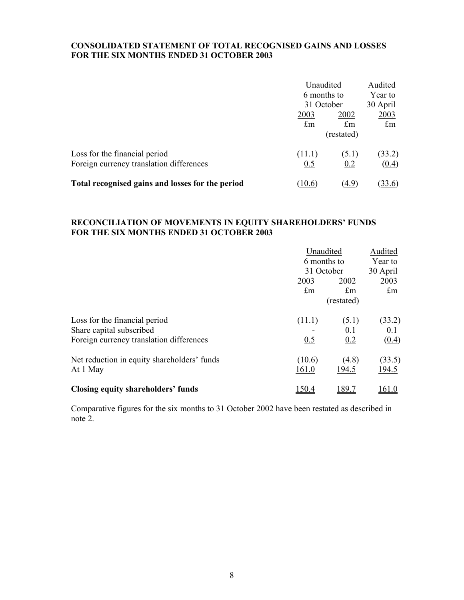#### **CONSOLIDATED STATEMENT OF TOTAL RECOGNISED GAINS AND LOSSES FOR THE SIX MONTHS ENDED 31 OCTOBER 2003**

|                                                  | Unaudited                 | Audited     |                      |
|--------------------------------------------------|---------------------------|-------------|----------------------|
|                                                  | 6 months to<br>31 October |             | Year to              |
|                                                  |                           |             | 30 April             |
|                                                  | 2003                      | 2002        | <u>2003</u>          |
|                                                  | $\pounds$ m               | $\pounds$ m | $\mathop{\text{fm}}$ |
|                                                  |                           | (restated)  |                      |
| Loss for the financial period                    | (11.1)                    | (5.1)       | (33.2)               |
| Foreign currency translation differences         | 0.5                       | 0.2         | (0.4)                |
| Total recognised gains and losses for the period | 10.6                      | (4.9)       | <u>33.6</u>          |

#### **RECONCILIATION OF MOVEMENTS IN EQUITY SHAREHOLDERS' FUNDS FOR THE SIX MONTHS ENDED 31 OCTOBER 2003**

|                                                                                                       | 2003<br>$\pounds$ m | Unaudited<br>6 months to<br>31 October<br>2002<br>$\pounds$ m | Audited<br>Year to<br>30 April<br>2003<br>$\pounds$ m |  |
|-------------------------------------------------------------------------------------------------------|---------------------|---------------------------------------------------------------|-------------------------------------------------------|--|
|                                                                                                       |                     | (restated)                                                    |                                                       |  |
| Loss for the financial period<br>Share capital subscribed<br>Foreign currency translation differences | (11.1)<br>0.5       | (5.1)<br>0.1<br>0.2                                           | (33.2)<br>0.1<br>(0.4)                                |  |
| Net reduction in equity shareholders' funds<br>At 1 May                                               | (10.6)<br>161.0     | (4.8)<br>194.5                                                | (33.5)<br>194.5                                       |  |
| Closing equity shareholders' funds                                                                    | 150.4               | 89.7                                                          |                                                       |  |

Comparative figures for the six months to 31 October 2002 have been restated as described in note 2.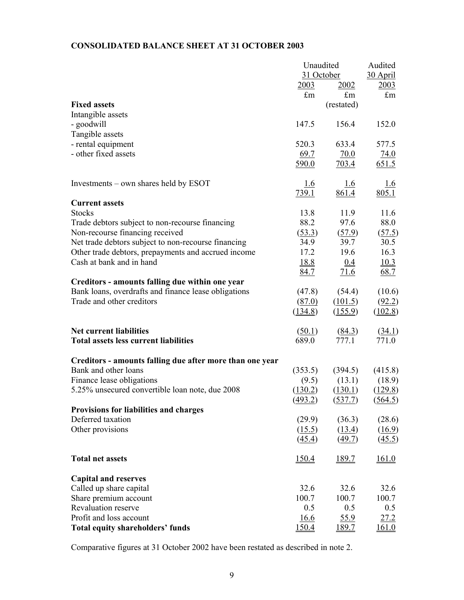#### **CONSOLIDATED BALANCE SHEET AT 31 OCTOBER 2003**

|                                                          | Unaudited    |                    | Audited      |
|----------------------------------------------------------|--------------|--------------------|--------------|
|                                                          | 31 October   |                    | 30 April     |
|                                                          | <u>2003</u>  | 2002               | 2003         |
|                                                          | $\pounds$ m  | $\pounds$ m        | $\pounds$ m  |
| <b>Fixed assets</b>                                      |              | (restated)         |              |
| Intangible assets                                        |              |                    |              |
| - goodwill                                               | 147.5        | 156.4              | 152.0        |
| Tangible assets                                          |              |                    |              |
| - rental equipment                                       | 520.3        | 633.4              | 577.5        |
| - other fixed assets                                     | 69.7         | 70.0               | 74.0         |
|                                                          | 590.0        | 703.4              | 651.5        |
| Investments – own shares held by ESOT                    | <u>1.6</u>   | <u>1.6</u>         | 1.6          |
|                                                          | 739.1        | 861.4              | 805.1        |
| <b>Current assets</b>                                    |              |                    |              |
| <b>Stocks</b>                                            | 13.8         | 11.9               | 11.6         |
| Trade debtors subject to non-recourse financing          | 88.2         | 97.6               | 88.0         |
| Non-recourse financing received                          | (53.3)       | (57.9)             | (57.5)       |
| Net trade debtors subject to non-recourse financing      | 34.9         | 39.7               | 30.5         |
| Other trade debtors, prepayments and accrued income      | 17.2         | 19.6               | 16.3         |
| Cash at bank and in hand                                 | <u>18.8</u>  | 0.4                | 10.3         |
|                                                          |              |                    |              |
|                                                          | <u>84.7</u>  | 71.6               | 68.7         |
| Creditors - amounts falling due within one year          |              |                    |              |
| Bank loans, overdrafts and finance lease obligations     | (47.8)       | (54.4)             | (10.6)       |
| Trade and other creditors                                | (87.0)       | (101.5)            | (92.2)       |
|                                                          | (134.8)      | (155.9)            | (102.8)      |
| <b>Net current liabilities</b>                           | (50.1)       | $\frac{(84.3)}{2}$ | (34.1)       |
| <b>Total assets less current liabilities</b>             | 689.0        | 777.1              | 771.0        |
| Creditors - amounts falling due after more than one year |              |                    |              |
| Bank and other loans                                     | (353.5)      | (394.5)            | (415.8)      |
| Finance lease obligations                                | (9.5)        | (13.1)             | (18.9)       |
| 5.25% unsecured convertible loan note, due 2008          | (130.2)      | (130.1)            | (129.8)      |
|                                                          | (493.2)      | (537.7)            | (564.5)      |
| <b>Provisions for liabilities and charges</b>            |              |                    |              |
| Deferred taxation                                        | (29.9)       | (36.3)             | (28.6)       |
| Other provisions                                         | (15.5)       | (13.4)             | (16.9)       |
|                                                          | (45.4)       | (49.7)             | (45.5)       |
| <b>Total net assets</b>                                  | <u>150.4</u> | 189.7              | 161.0        |
| <b>Capital and reserves</b>                              |              |                    |              |
| Called up share capital                                  | 32.6         | 32.6               | 32.6         |
| Share premium account                                    | 100.7        | 100.7              | 100.7        |
| Revaluation reserve                                      | 0.5          | 0.5                | 0.5          |
| Profit and loss account                                  | <u>16.6</u>  | 55.9               | 27.2         |
| Total equity shareholders' funds                         | 150.4        | 189.7              | <u>161.0</u> |
|                                                          |              |                    |              |

Comparative figures at 31 October 2002 have been restated as described in note 2.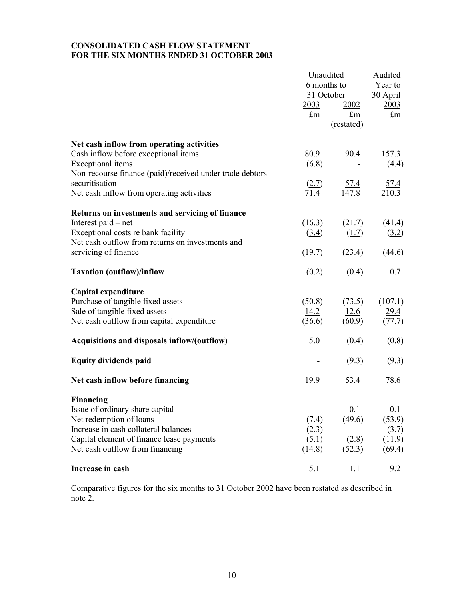#### **CONSOLIDATED CASH FLOW STATEMENT FOR THE SIX MONTHS ENDED 31 OCTOBER 2003**

|                                                          | Unaudited<br>6 months to         |             | <b>Audited</b><br>Year to        |
|----------------------------------------------------------|----------------------------------|-------------|----------------------------------|
|                                                          | 31 October                       |             | 30 April                         |
|                                                          | 2003                             | 2002        | 2003                             |
|                                                          | $\pounds$ m                      | $\pounds$ m | $\pounds$ m                      |
|                                                          |                                  | (restated)  |                                  |
| Net cash inflow from operating activities                |                                  |             |                                  |
| Cash inflow before exceptional items                     | 80.9                             | 90.4        | 157.3                            |
| Exceptional items                                        | (6.8)                            |             | (4.4)                            |
| Non-recourse finance (paid)/received under trade debtors |                                  |             |                                  |
| securitisation                                           | (2.7)                            | 57.4        | <u>57.4</u>                      |
| Net cash inflow from operating activities                | 71.4                             | 147.8       | 210.3                            |
| Returns on investments and servicing of finance          |                                  |             |                                  |
| Interest paid – net                                      | (16.3)                           | (21.7)      | (41.4)                           |
| Exceptional costs re bank facility                       | $\left( \underline{3.4} \right)$ | (1.7)       | $\left( \frac{3.2}{2.2} \right)$ |
| Net cash outflow from returns on investments and         |                                  |             |                                  |
| servicing of finance                                     | (19.7)                           | (23.4)      | (44.6)                           |
| <b>Taxation (outflow)/inflow</b>                         | (0.2)                            | (0.4)       | 0.7                              |
| Capital expenditure                                      |                                  |             |                                  |
| Purchase of tangible fixed assets                        | (50.8)                           | (73.5)      | (107.1)                          |
| Sale of tangible fixed assets                            | 14.2                             | 12.6        | 29.4                             |
| Net cash outflow from capital expenditure                | (36.6)                           | (60.9)      | (77.7)                           |
| Acquisitions and disposals inflow/(outflow)              | 5.0                              | (0.4)       | (0.8)                            |
| <b>Equity dividends paid</b>                             | $\overline{\phantom{a}}$         | (9.3)       | (9.3)                            |
| Net cash inflow before financing                         | 19.9                             | 53.4        | 78.6                             |
| <b>Financing</b>                                         |                                  |             |                                  |
| Issue of ordinary share capital                          |                                  | 0.1         | 0.1                              |
| Net redemption of loans                                  | (7.4)                            | (49.6)      | (53.9)                           |
| Increase in cash collateral balances                     | (2.3)                            |             | (3.7)                            |
| Capital element of finance lease payments                | (5.1)                            | (2.8)       | (11.9)                           |
| Net cash outflow from financing                          | (14.8)                           | (52.3)      | (69.4)                           |
| Increase in cash                                         | 5.1                              | <u>1.1</u>  | 9.2                              |

Comparative figures for the six months to 31 October 2002 have been restated as described in note 2.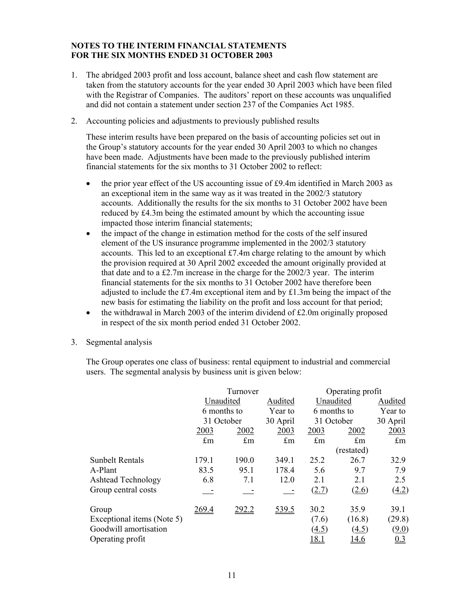- 1. The abridged 2003 profit and loss account, balance sheet and cash flow statement are taken from the statutory accounts for the year ended 30 April 2003 which have been filed with the Registrar of Companies. The auditors' report on these accounts was unqualified and did not contain a statement under section 237 of the Companies Act 1985.
- 2. Accounting policies and adjustments to previously published results

These interim results have been prepared on the basis of accounting policies set out in the Group's statutory accounts for the year ended 30 April 2003 to which no changes have been made. Adjustments have been made to the previously published interim financial statements for the six months to 31 October 2002 to reflect:

- the prior year effect of the US accounting issue of £9.4m identified in March 2003 as an exceptional item in the same way as it was treated in the 2002/3 statutory accounts. Additionally the results for the six months to 31 October 2002 have been reduced by £4.3m being the estimated amount by which the accounting issue impacted those interim financial statements;
- the impact of the change in estimation method for the costs of the self insured element of the US insurance programme implemented in the 2002/3 statutory accounts. This led to an exceptional £7.4m charge relating to the amount by which the provision required at 30 April 2002 exceeded the amount originally provided at that date and to a £2.7m increase in the charge for the 2002/3 year. The interim financial statements for the six months to 31 October 2002 have therefore been adjusted to include the £7.4m exceptional item and by £1.3m being the impact of the new basis for estimating the liability on the profit and loss account for that period;
- the withdrawal in March 2003 of the interim dividend of  $£2.0m$  originally proposed in respect of the six month period ended 31 October 2002.
- 3. Segmental analysis

The Group operates one class of business: rental equipment to industrial and commercial users. The segmental analysis by business unit is given below:

|                            |             | Turnover    |             |             | Operating profit |             |
|----------------------------|-------------|-------------|-------------|-------------|------------------|-------------|
|                            |             | Unaudited   | Audited     | Unaudited   |                  | Audited     |
|                            |             | 6 months to |             | 6 months to |                  | Year to     |
|                            |             | 31 October  | 30 April    | 31 October  |                  | 30 April    |
|                            | 2003        | 2002        | 2003        | 2003        | 2002             | 2003        |
|                            | $\pounds$ m | $\pounds$ m | $\pounds$ m | $\pounds$ m | $\pounds$ m      | $\pounds$ m |
|                            |             |             |             |             | (restated)       |             |
| <b>Sunbelt Rentals</b>     | 179.1       | 190.0       | 349.1       | 25.2        | 26.7             | 32.9        |
| A-Plant                    | 83.5        | 95.1        | 178.4       | 5.6         | 9.7              | 7.9         |
| <b>Ashtead Technology</b>  | 6.8         | 7.1         | 12.0        | 2.1         | 2.1              | 2.5         |
| Group central costs        |             |             |             | (2.7)       | (2.6)            | (4.2)       |
| Group                      | 269.4       | 292.2       | 539.5       | 30.2        | 35.9             | 39.1        |
| Exceptional items (Note 5) |             |             |             | (7.6)       | (16.8)           | (29.8)      |
| Goodwill amortisation      |             |             |             | (4.5)       | (4.5)            | (9.0)       |
| Operating profit           |             |             |             | 18.1        | <u> 14.6</u>     | 0.3         |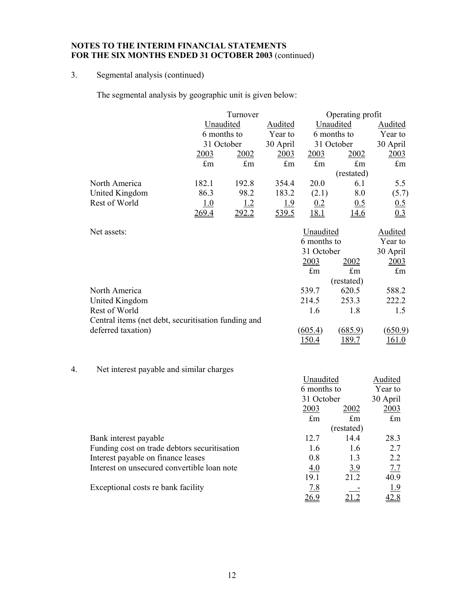### 3. Segmental analysis (continued)

The segmental analysis by geographic unit is given below:

|                |             | Turnover                               |             |                                        | Operating profit |             |  |
|----------------|-------------|----------------------------------------|-------------|----------------------------------------|------------------|-------------|--|
|                |             | Unaudited<br>6 months to<br>31 October |             | Unaudited<br>6 months to<br>31 October |                  | Audited     |  |
|                |             |                                        |             |                                        |                  | Year to     |  |
|                |             |                                        |             |                                        |                  | 30 April    |  |
|                | 2003        | 2002                                   | <u>2003</u> | 2003                                   | 2002             | 2003        |  |
|                | $\pounds$ m | $\pounds$ m                            | $\pounds$ m | $\pounds$ m                            | $\pounds$ m      | $\pounds$ m |  |
|                |             |                                        |             |                                        | (restated)       |             |  |
| North America  | 182.1       | 192.8                                  | 354.4       | 20.0                                   | 6.1              | 5.5         |  |
| United Kingdom | 86.3        | 98.2                                   | 183.2       | (2.1)                                  | 8.0              | (5.7)       |  |
| Rest of World  | 1.0         | 1.2                                    | 1.9         | 0.2                                    | 0.5              | 0.5         |  |
|                | 269.4       | 292.2                                  | 539.5       | <u> 18.1</u>                           | <u>14.6</u>      | 0.3         |  |

| Net assets:                                         | Unaudited   | Audited     |             |
|-----------------------------------------------------|-------------|-------------|-------------|
|                                                     | 6 months to | Year to     |             |
|                                                     | 31 October  | 30 April    |             |
|                                                     | 2003        | 2002        | <u>2003</u> |
|                                                     | $\pounds$ m | $\pounds$ m | $\pounds$ m |
|                                                     |             | (restated)  |             |
| North America                                       | 539.7       | 620.5       | 588.2       |
| United Kingdom                                      | 214.5       | 253.3       | 222.2       |
| Rest of World                                       | 1.6         | 1.8         | 1.5         |
| Central items (net debt, securitisation funding and |             |             |             |
| deferred taxation)                                  | (605.4)     | (685.9)     | (650.9)     |
|                                                     | 150.4       | .89.7       | 161.0       |

# 4. Net interest payable and similar charges

| The merest pay able and similar enarges      |             |             |             |
|----------------------------------------------|-------------|-------------|-------------|
|                                              | Unaudited   |             | Audited     |
|                                              | 6 months to |             | Year to     |
|                                              | 31 October  |             | 30 April    |
|                                              | 2003        | 2002        | 2003        |
|                                              | $\pounds$ m | $\pounds$ m | $\pounds$ m |
|                                              |             | (restated)  |             |
| Bank interest payable                        | 12.7        | 14.4        | 28.3        |
| Funding cost on trade debtors securitisation | 1.6         | 1.6         | 2.7         |
| Interest payable on finance leases           | 0.8         | 1.3         | 2.2         |
| Interest on unsecured convertible loan note  | 4.0         | <u>3.9</u>  | 7.7         |
|                                              | 19.1        | 21.2        | 40.9        |
| Exceptional costs re bank facility           | <u>7.8</u>  |             | 1.9         |
|                                              | <u>26.9</u> |             | 42.8        |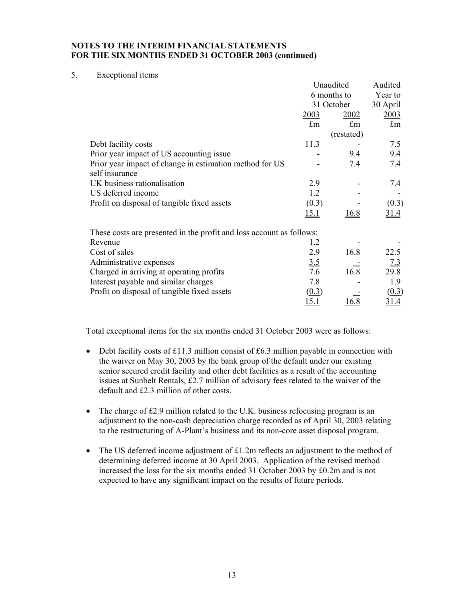#### 5. Exceptional items

|                                                                      |              | Unaudited   | Audited     |
|----------------------------------------------------------------------|--------------|-------------|-------------|
|                                                                      |              | 6 months to |             |
|                                                                      |              | 31 October  | 30 April    |
|                                                                      | 2003         | 2002        | 2003        |
|                                                                      | $\pounds$ m  | $\pounds$ m | $\pounds$ m |
|                                                                      |              | (restated)  |             |
| Debt facility costs                                                  | 11.3         |             | 7.5         |
| Prior year impact of US accounting issue                             |              | 9.4         | 9.4         |
| Prior year impact of change in estimation method for US              |              | 7.4         | 7.4         |
| self insurance                                                       |              |             |             |
| UK business rationalisation                                          | 2.9          |             | 7.4         |
| US deferred income                                                   | 1.2          |             |             |
| Profit on disposal of tangible fixed assets                          | (0.3)        |             | (0.3)       |
|                                                                      | <u> 15.1</u> | 16.8        |             |
| These costs are presented in the profit and loss account as follows: |              |             |             |
| Revenue                                                              | 1.2          |             |             |
| Cost of sales                                                        | 2.9          | 16.8        | 22.5        |
| Administrative expenses                                              | 3.5          |             | 7.3         |
| Charged in arriving at operating profits                             | 7.6          | 16.8        | 29.8        |
| Interest payable and similar charges                                 | 7.8          |             | 1.9         |
| Profit on disposal of tangible fixed assets                          | (0.3)        |             | (0.3)       |
|                                                                      | <u>5.1</u>   | 16.8        |             |

Total exceptional items for the six months ended 31 October 2003 were as follows:

- Debt facility costs of £11.3 million consist of £6.3 million payable in connection with the waiver on May 30, 2003 by the bank group of the default under our existing senior secured credit facility and other debt facilities as a result of the accounting issues at Sunbelt Rentals, £2.7 million of advisory fees related to the waiver of the default and £2.3 million of other costs.
- The charge of £2.9 million related to the U.K. business refocusing program is an adjustment to the non-cash depreciation charge recorded as of April 30, 2003 relating to the restructuring of A-Plant's business and its non-core asset disposal program.
- The US deferred income adjustment of  $£1.2m$  reflects an adjustment to the method of determining deferred income at 30 April 2003. Application of the revised method increased the loss for the six months ended 31 October 2003 by £0.2m and is not expected to have any significant impact on the results of future periods.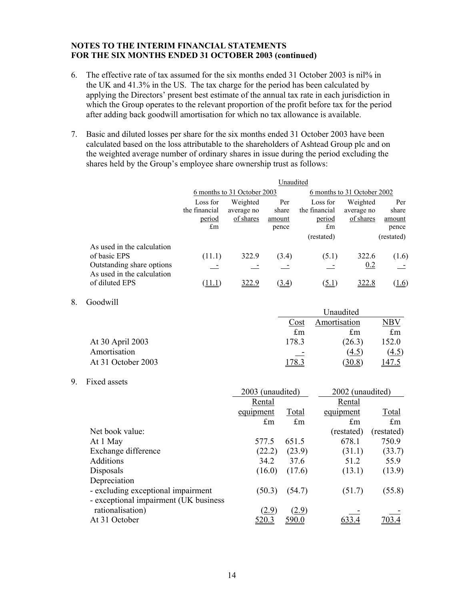- 6. The effective rate of tax assumed for the six months ended 31 October 2003 is nil% in the UK and 41.3% in the US. The tax charge for the period has been calculated by applying the Directors' present best estimate of the annual tax rate in each jurisdiction in which the Group operates to the relevant proportion of the profit before tax for the period after adding back goodwill amortisation for which no tax allowance is available.
- 7. Basic and diluted losses per share for the six months ended 31 October 2003 have been calculated based on the loss attributable to the shareholders of Ashtead Group plc and on the weighted average number of ordinary shares in issue during the period excluding the shares held by the Group's employee share ownership trust as follows:

|                                                                                                       | Unaudited                                 |                                     |                                 |                                                         |                                     |                                               |  |
|-------------------------------------------------------------------------------------------------------|-------------------------------------------|-------------------------------------|---------------------------------|---------------------------------------------------------|-------------------------------------|-----------------------------------------------|--|
|                                                                                                       | 6 months to 31 October 2003               |                                     |                                 | 6 months to 31 October 2002                             |                                     |                                               |  |
|                                                                                                       | Loss for<br>the financial<br>period<br>£m | Weighted<br>average no<br>of shares | Per<br>share<br>amount<br>pence | Loss for<br>the financial<br>period<br>£m<br>(restated) | Weighted<br>average no<br>of shares | Per<br>share<br>amount<br>pence<br>(restated) |  |
| As used in the calculation<br>of basic EPS<br>Outstanding share options<br>As used in the calculation | (11.1)                                    | 322.9                               | (3.4)                           | (5.1)                                                   | 322.6<br>0.2                        | (1.6)                                         |  |
| of diluted EPS                                                                                        |                                           | 322.9                               | (3.4)                           | (5.1)                                                   | 322.8                               | (1.6)                                         |  |

8. Goodwill

|                    | Unaudited   |              |             |
|--------------------|-------------|--------------|-------------|
|                    | Cost        | Amortisation | NBV         |
|                    | $\pounds$ m | $\pounds$ m  | $\pounds$ m |
| At 30 April 2003   | 178.3       | (26.3)       | 152.0       |
| Amortisation       | ۰           | (4.5)        | (4.5)       |
| At 31 October 2003 | $178 -$     | (30.8)       | <u>47.5</u> |

9. Fixed assets

|                                       | 2003 (unaudited) |             | 2002 (unaudited) |             |
|---------------------------------------|------------------|-------------|------------------|-------------|
|                                       | Rental           |             | Rental           |             |
|                                       | equipment        | Total       | equipment        | Total       |
|                                       | $\pounds$ m      | $\pounds$ m | $\pounds$ m      | $\pounds$ m |
| Net book value:                       |                  |             | (restated)       | (restated)  |
| At 1 May                              | 577.5            | 651.5       | 678.1            | 750.9       |
| Exchange difference                   | (22.2)           | (23.9)      | (31.1)           | (33.7)      |
| <b>Additions</b>                      | 34.2             | 37.6        | 51.2             | 55.9        |
| Disposals                             | (16.0)           | (17.6)      | (13.1)           | (13.9)      |
| Depreciation                          |                  |             |                  |             |
| - excluding exceptional impairment    | (50.3)           | (54.7)      | (51.7)           | (55.8)      |
| - exceptional impairment (UK business |                  |             |                  |             |
| rationalisation)                      | (2.9)            | (2.9)       |                  |             |
| At 31 October                         | <u>520.3</u>     | 590.0       |                  |             |
|                                       |                  |             |                  |             |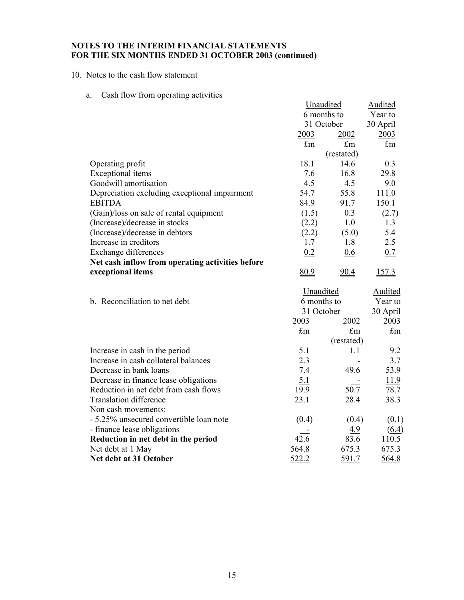10. Notes to the cash flow statement

a. Cash flow from operating activities

|                                                  | Unaudited   |                      | <b>Audited</b>               |
|--------------------------------------------------|-------------|----------------------|------------------------------|
|                                                  | 6 months to |                      | Year to                      |
|                                                  | 31 October  |                      | 30 April                     |
|                                                  | 2003        | 2002                 | 2003                         |
|                                                  | $\pounds$ m | $\mathop{\pmb{f}}$ m | $\pounds$ m                  |
|                                                  |             | (restated)           |                              |
| Operating profit                                 | 18.1        | 14.6                 | 0.3                          |
| <b>Exceptional</b> items                         | 7.6         | 16.8                 | 29.8                         |
| Goodwill amortisation                            | 4.5         | 4.5                  | 9.0                          |
| Depreciation excluding exceptional impairment    | 54.7        | 55.8                 | 111.0                        |
| <b>EBITDA</b>                                    | 84.9        | 91.7                 | 150.1                        |
| (Gain)/loss on sale of rental equipment          | (1.5)       | 0.3                  | (2.7)                        |
| (Increase)/decrease in stocks                    | (2.2)       | 1.0                  | 1.3                          |
| (Increase)/decrease in debtors                   | (2.2)       | (5.0)                | 5.4                          |
| Increase in creditors                            | 1.7         | 1.8                  | 2.5                          |
| <b>Exchange differences</b>                      | 0.2         | 0.6                  | 0.7                          |
| Net cash inflow from operating activities before |             |                      |                              |
| exceptional items                                | 80.9        | 90.4                 | 157.3                        |
|                                                  | Unaudited   |                      | <b>Audited</b>               |
| b. Reconciliation to net debt                    | 6 months to |                      | Year to                      |
|                                                  | 31 October  |                      | 30 April                     |
|                                                  | 2003        | 2002                 | 2003                         |
|                                                  | $\pounds$ m | $\pounds$ m          | $\pounds$ m                  |
|                                                  |             | (restated)           |                              |
|                                                  |             |                      |                              |
| Increase in cash in the period                   | 5.1         | 1.1                  | 9.2                          |
| Increase in cash collateral balances             | 2.3         |                      | 3.7                          |
| Decrease in bank loans                           | 7.4         | 49.6                 | 53.9                         |
| Decrease in finance lease obligations            | 5.1         |                      | <u>11.9</u>                  |
| Reduction in net debt from cash flows            | 19.9        | 50.7                 | 78.7                         |
| <b>Translation difference</b>                    | 23.1        | 28.4                 | 38.3                         |
| Non cash movements:                              |             |                      |                              |
| - 5.25% unsecured convertible loan note          | (0.4)       | (0.4)                | (0.1)                        |
| - finance lease obligations                      |             | 4.9                  |                              |
| Reduction in net debt in the period              | 42.6        | 83.6                 | $\underline{(6.4)}$<br>110.5 |
| Net debt at 1 May                                | 564.8       | 675.3                | 675.3                        |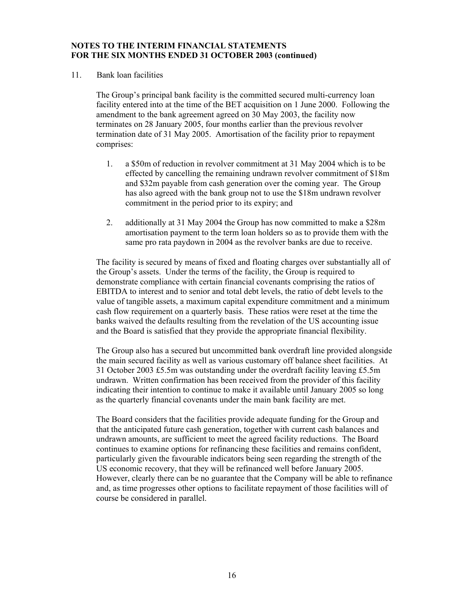11. Bank loan facilities

The Group's principal bank facility is the committed secured multi-currency loan facility entered into at the time of the BET acquisition on 1 June 2000. Following the amendment to the bank agreement agreed on 30 May 2003, the facility now terminates on 28 January 2005, four months earlier than the previous revolver termination date of 31 May 2005. Amortisation of the facility prior to repayment comprises:

- 1. a \$50m of reduction in revolver commitment at 31 May 2004 which is to be effected by cancelling the remaining undrawn revolver commitment of \$18m and \$32m payable from cash generation over the coming year. The Group has also agreed with the bank group not to use the \$18m undrawn revolver commitment in the period prior to its expiry; and
- 2. additionally at 31 May 2004 the Group has now committed to make a \$28m amortisation payment to the term loan holders so as to provide them with the same pro rata paydown in 2004 as the revolver banks are due to receive.

The facility is secured by means of fixed and floating charges over substantially all of the Group's assets. Under the terms of the facility, the Group is required to demonstrate compliance with certain financial covenants comprising the ratios of EBITDA to interest and to senior and total debt levels, the ratio of debt levels to the value of tangible assets, a maximum capital expenditure commitment and a minimum cash flow requirement on a quarterly basis. These ratios were reset at the time the banks waived the defaults resulting from the revelation of the US accounting issue and the Board is satisfied that they provide the appropriate financial flexibility.

The Group also has a secured but uncommitted bank overdraft line provided alongside the main secured facility as well as various customary off balance sheet facilities. At 31 October 2003 £5.5m was outstanding under the overdraft facility leaving £5.5m undrawn. Written confirmation has been received from the provider of this facility indicating their intention to continue to make it available until January 2005 so long as the quarterly financial covenants under the main bank facility are met.

The Board considers that the facilities provide adequate funding for the Group and that the anticipated future cash generation, together with current cash balances and undrawn amounts, are sufficient to meet the agreed facility reductions. The Board continues to examine options for refinancing these facilities and remains confident, particularly given the favourable indicators being seen regarding the strength of the US economic recovery, that they will be refinanced well before January 2005. However, clearly there can be no guarantee that the Company will be able to refinance and, as time progresses other options to facilitate repayment of those facilities will of course be considered in parallel.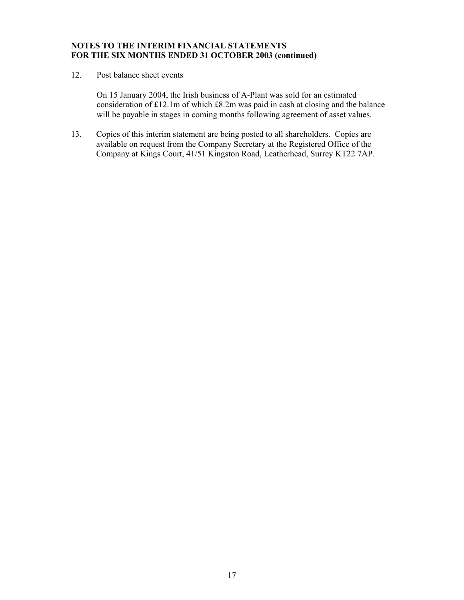12. Post balance sheet events

On 15 January 2004, the Irish business of A-Plant was sold for an estimated consideration of £12.1m of which £8.2m was paid in cash at closing and the balance will be payable in stages in coming months following agreement of asset values.

13. Copies of this interim statement are being posted to all shareholders. Copies are available on request from the Company Secretary at the Registered Office of the Company at Kings Court, 41/51 Kingston Road, Leatherhead, Surrey KT22 7AP.